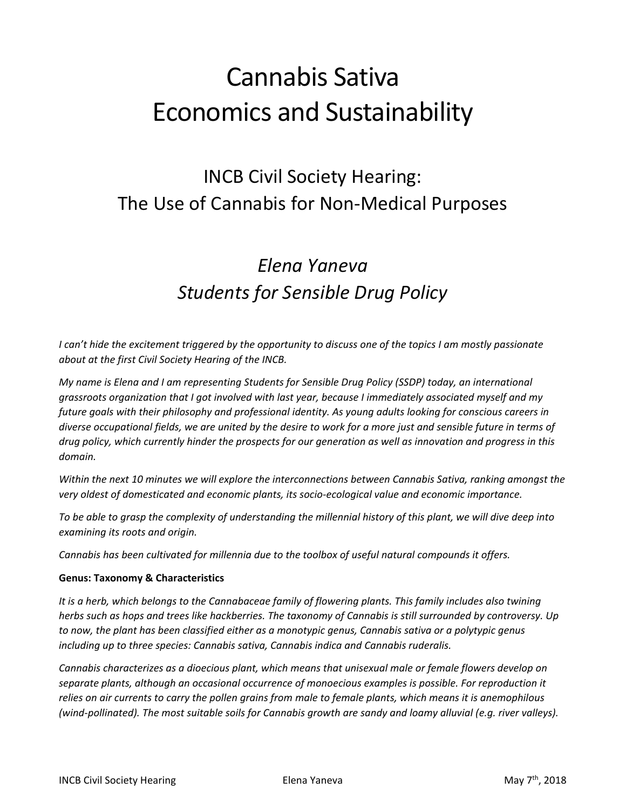# Cannabis Sativa Economics and Sustainability

## INCB Civil Society Hearing: The Use of Cannabis for Non-Medical Purposes

# *Elena Yaneva Students for Sensible Drug Policy*

*I* can't hide the excitement triggered by the opportunity to discuss one of the topics *I* am mostly passionate *about at the first Civil Society Hearing of the INCB.*

*My name is Elena and I am representing Students for Sensible Drug Policy (SSDP) today, an international grassroots organization that I got involved with last year, because I immediately associated myself and my future goals with their philosophy and professional identity. As young adults looking for conscious careers in diverse occupational fields, we are united by the desire to work for a more just and sensible future in terms of drug policy, which currently hinder the prospects for our generation as well as innovation and progress in this domain.*

*Within the next 10 minutes we will explore the interconnections between Cannabis Sativa, ranking amongst the very oldest of domesticated and economic plants, its socio-ecological value and economic importance.* 

*To be able to grasp the complexity of understanding the millennial history of this plant, we will dive deep into examining its roots and origin.* 

*Cannabis has been cultivated for millennia due to the toolbox of useful natural compounds it offers.* 

### **Genus: Taxonomy & Characteristics**

*It is a herb, which belongs to the Cannabaceae family of flowering plants. This family includes also twining herbs such as hops and trees like hackberries. The taxonomy of Cannabis is still surrounded by controversy. Up to now, the plant has been classified either as a monotypic genus, Cannabis sativa or a polytypic genus including up to three species: Cannabis sativa, Cannabis indica and Cannabis ruderalis.* 

*Cannabis characterizes as a dioecious plant, which means that unisexual male or female flowers develop on separate plants, although an occasional occurrence of monoecious examples is possible. For reproduction it relies on air currents to carry the pollen grains from male to female plants, which means it is anemophilous (wind-pollinated). The most suitable soils for Cannabis growth are sandy and loamy alluvial (e.g. river valleys).*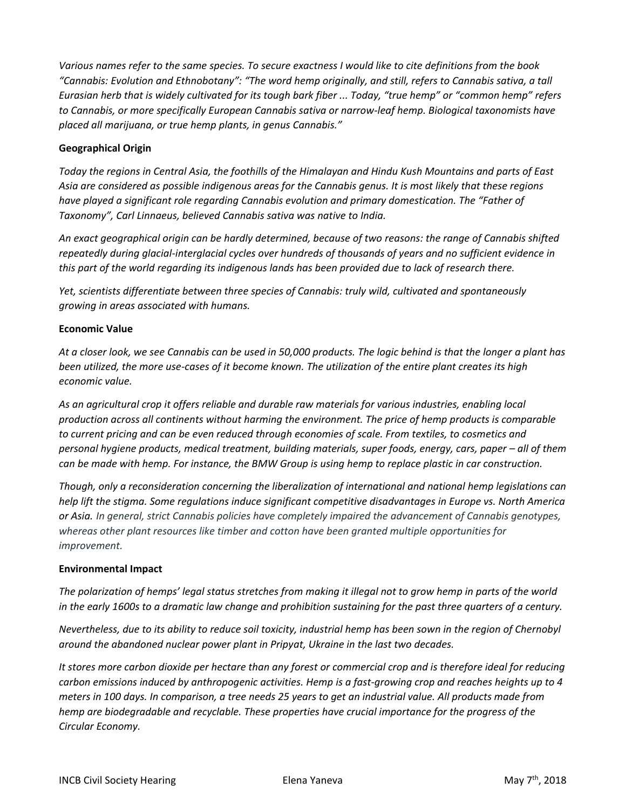*Various names refer to the same species. To secure exactness I would like to cite definitions from the book "Cannabis: Evolution and Ethnobotany": "The word hemp originally, and still, refers to Cannabis sativa, a tall Eurasian herb that is widely cultivated for its tough bark fiber ... Today, "true hemp" or "common hemp" refers to Cannabis, or more specifically European Cannabis sativa or narrow-leaf hemp. Biological taxonomists have placed all marijuana, or true hemp plants, in genus Cannabis."* 

### **Geographical Origin**

*Today the regions in Central Asia, the foothills of the Himalayan and Hindu Kush Mountains and parts of East Asia are considered as possible indigenous areas for the Cannabis genus. It is most likely that these regions have played a significant role regarding Cannabis evolution and primary domestication. The "Father of Taxonomy", Carl Linnaeus, believed Cannabis sativa was native to India.*

*An exact geographical origin can be hardly determined, because of two reasons: the range of Cannabis shifted repeatedly during glacial-interglacial cycles over hundreds of thousands of years and no sufficient evidence in this part of the world regarding its indigenous lands has been provided due to lack of research there.* 

*Yet, scientists differentiate between three species of Cannabis: truly wild, cultivated and spontaneously growing in areas associated with humans.* 

### **Economic Value**

*At a closer look, we see Cannabis can be used in 50,000 products. The logic behind is that the longer a plant has been utilized, the more use-cases of it become known. The utilization of the entire plant creates its high economic value.* 

*As an agricultural crop it offers reliable and durable raw materials for various industries, enabling local production across all continents without harming the environment. The price of hemp products is comparable to current pricing and can be even reduced through economies of scale. From textiles, to cosmetics and personal hygiene products, medical treatment, building materials, super foods, energy, cars, paper – all of them can be made with hemp. For instance, the BMW Group is using hemp to replace plastic in car construction.*

*Though, only a reconsideration concerning the liberalization of international and national hemp legislations can help lift the stigma. Some regulations induce significant competitive disadvantages in Europe vs. North America or Asia. In general, strict Cannabis policies have completely impaired the advancement of Cannabis genotypes, whereas other plant resources like timber and cotton have been granted multiple opportunities for improvement.* 

### **Environmental Impact**

*The polarization of hemps' legal status stretches from making it illegal not to grow hemp in parts of the world in the early 1600s to a dramatic law change and prohibition sustaining for the past three quarters of a century.*

*Nevertheless, due to its ability to reduce soil toxicity, industrial hemp has been sown in the region of Chernobyl around the abandoned nuclear power plant in Pripyat, Ukraine in the last two decades.* 

*It stores more carbon dioxide per hectare than any forest or commercial crop and is therefore ideal for reducing carbon emissions induced by anthropogenic activities. Hemp is a fast-growing crop and reaches heights up to 4 meters in 100 days. In comparison, a tree needs 25 years to get an industrial value. All products made from hemp are biodegradable and recyclable. These properties have crucial importance for the progress of the Circular Economy.*